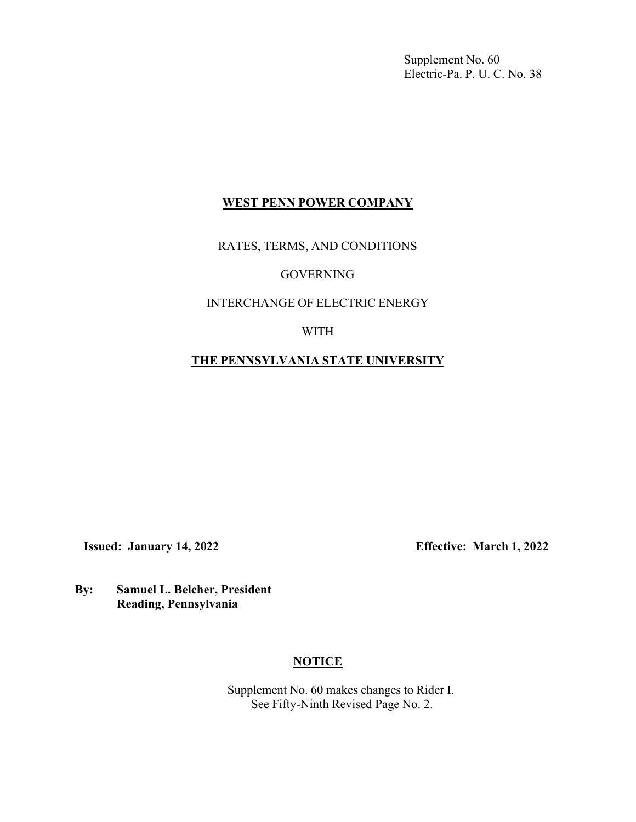Supplement No. 60 Electric-Pa. P. U. C. No. 38

## **WEST PENN POWER COMPANY**

RATES, TERMS, AND CONDITIONS

### GOVERNING

## INTERCHANGE OF ELECTRIC ENERGY

### WITH

# **THE PENNSYLVANIA STATE UNIVERSITY**

**Issued: January 14, 2022 Effective: March 1, 2022**

**By: Samuel L. Belcher, President Reading, Pennsylvania**

### **NOTICE**

Supplement No. 60 makes changes to Rider I. See Fifty-Ninth Revised Page No. 2.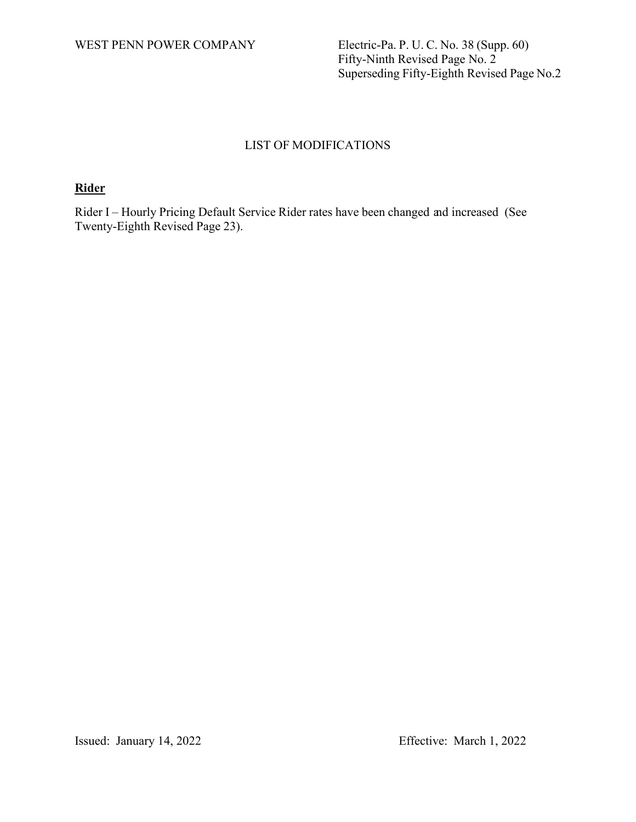WEST PENN POWER COMPANY Electric-Pa. P. U. C. No. 38 (Supp. 60) Fifty-Ninth Revised Page No. 2 Superseding Fifty-Eighth Revised Page No.2

# LIST OF MODIFICATIONS

# **Rider**

Rider I – Hourly Pricing Default Service Rider rates have been changed and increased (See Twenty-Eighth Revised Page 23).